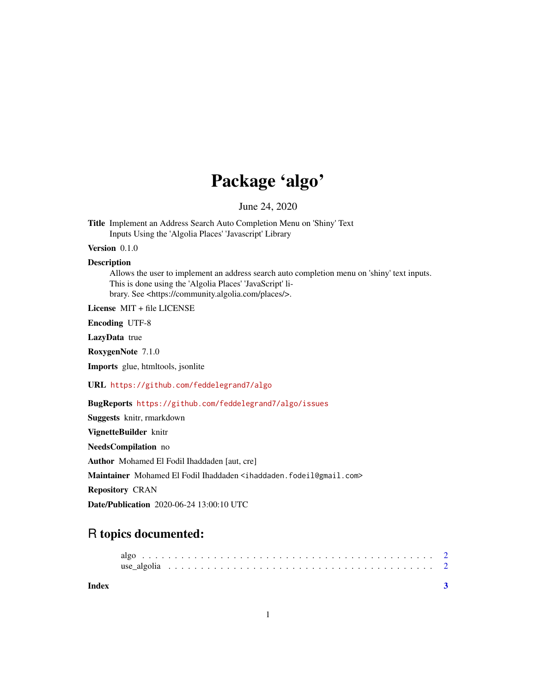## Package 'algo'

June 24, 2020

Title Implement an Address Search Auto Completion Menu on 'Shiny' Text Inputs Using the 'Algolia Places' 'Javascript' Library

Version 0.1.0

**Description** 

Allows the user to implement an address search auto completion menu on 'shiny' text inputs. This is done using the 'Algolia Places' 'JavaScript' library. See <https://community.algolia.com/places/>.

License MIT + file LICENSE

Encoding UTF-8

LazyData true

RoxygenNote 7.1.0

Imports glue, htmltools, jsonlite

URL <https://github.com/feddelegrand7/algo>

BugReports <https://github.com/feddelegrand7/algo/issues>

Suggests knitr, rmarkdown VignetteBuilder knitr NeedsCompilation no Author Mohamed El Fodil Ihaddaden [aut, cre] Maintainer Mohamed El Fodil Ihaddaden <ihaddaden.fodeil@gmail.com> Repository CRAN Date/Publication 2020-06-24 13:00:10 UTC

### R topics documented:

**Index** [3](#page-2-0)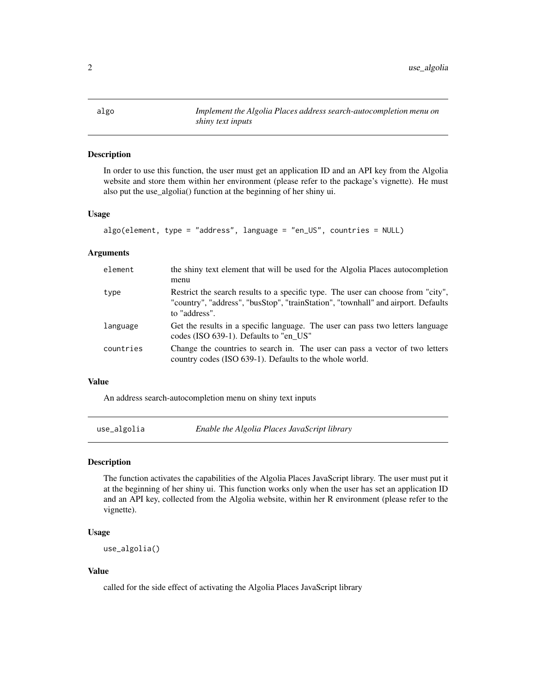<span id="page-1-0"></span>

#### Description

In order to use this function, the user must get an application ID and an API key from the Algolia website and store them within her environment (please refer to the package's vignette). He must also put the use\_algolia() function at the beginning of her shiny ui.

#### Usage

```
algo(element, type = "address", language = "en_US", countries = NULL)
```
#### Arguments

| element   | the shiny text element that will be used for the Algolia Places autocompletion<br>menu                                                                                                 |
|-----------|----------------------------------------------------------------------------------------------------------------------------------------------------------------------------------------|
| type      | Restrict the search results to a specific type. The user can choose from "city",<br>"country", "address", "busStop", "trainStation", "townhall" and airport. Defaults<br>to "address". |
| language  | Get the results in a specific language. The user can pass two letters language<br>codes (ISO 639-1). Defaults to "en US"                                                               |
| countries | Change the countries to search in. The user can pass a vector of two letters<br>country codes (ISO 639-1). Defaults to the whole world.                                                |

#### Value

An address search-autocompletion menu on shiny text inputs

use\_algolia *Enable the Algolia Places JavaScript library*

#### Description

The function activates the capabilities of the Algolia Places JavaScript library. The user must put it at the beginning of her shiny ui. This function works only when the user has set an application ID and an API key, collected from the Algolia website, within her R environment (please refer to the vignette).

#### Usage

use\_algolia()

#### Value

called for the side effect of activating the Algolia Places JavaScript library